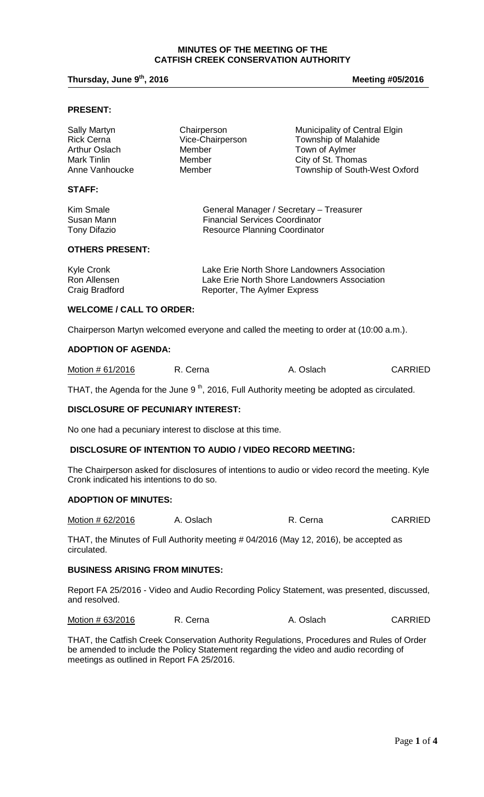### **MINUTES OF THE MEETING OF THE CATFISH CREEK CONSERVATION AUTHORITY**

# **Thursday, June 9<sup>th</sup>, 2016 Meeting #05/2016 Meeting #05/2016**

### **PRESENT:**

| <b>Sally Martyn</b><br><b>Rick Cerna</b> | Chairperson<br>Vice-Chairperson | Municipality of Central Elgin<br><b>Township of Malahide</b> |
|------------------------------------------|---------------------------------|--------------------------------------------------------------|
| Arthur Oslach                            | Member                          | Town of Aylmer                                               |
| Mark Tinlin                              | Member                          | City of St. Thomas                                           |
| Anne Vanhoucke                           | Member                          | Township of South-West Oxford                                |
| <b>STAFF:</b>                            |                                 |                                                              |

| Kim Smale    | General Manager / Secretary - Treasurer |
|--------------|-----------------------------------------|
| Susan Mann   | <b>Financial Services Coordinator</b>   |
| Tony Difazio | Resource Planning Coordinator           |

#### **OTHERS PRESENT:**

| Kyle Cronk     | Lake Erie North Shore Landowners Association |
|----------------|----------------------------------------------|
| Ron Allensen   | Lake Erie North Shore Landowners Association |
| Craig Bradford | Reporter, The Aylmer Express                 |

#### **WELCOME / CALL TO ORDER:**

Chairperson Martyn welcomed everyone and called the meeting to order at (10:00 a.m.).

# **ADOPTION OF AGENDA:**

| Motion # 61/2016<br>R. Cerna | A. Oslach | <b>CARRIED</b> |
|------------------------------|-----------|----------------|
|------------------------------|-----------|----------------|

THAT, the Agenda for the June 9<sup>th</sup>, 2016, Full Authority meeting be adopted as circulated.

### **DISCLOSURE OF PECUNIARY INTEREST:**

No one had a pecuniary interest to disclose at this time.

## **DISCLOSURE OF INTENTION TO AUDIO / VIDEO RECORD MEETING:**

The Chairperson asked for disclosures of intentions to audio or video record the meeting. Kyle Cronk indicated his intentions to do so.

# **ADOPTION OF MINUTES:**

| Motion # 62/2016 | A. Oslach | R. Cerna | <b>CARRIED</b> |
|------------------|-----------|----------|----------------|
|------------------|-----------|----------|----------------|

THAT, the Minutes of Full Authority meeting # 04/2016 (May 12, 2016), be accepted as circulated.

#### **BUSINESS ARISING FROM MINUTES:**

Report FA 25/2016 - Video and Audio Recording Policy Statement, was presented, discussed, and resolved.

Motion # 63/2016 R. Cerna A. Oslach CARRIED

THAT, the Catfish Creek Conservation Authority Regulations, Procedures and Rules of Order be amended to include the Policy Statement regarding the video and audio recording of meetings as outlined in Report FA 25/2016.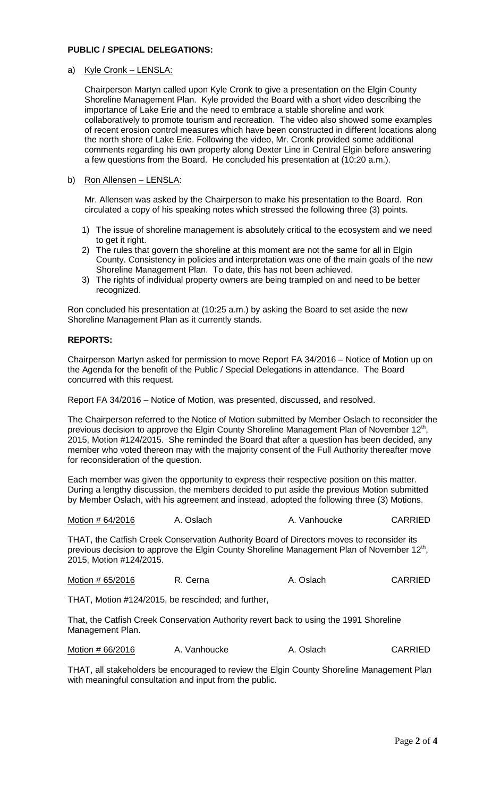## **PUBLIC / SPECIAL DELEGATIONS:**

a) Kyle Cronk – LENSLA:

Chairperson Martyn called upon Kyle Cronk to give a presentation on the Elgin County Shoreline Management Plan. Kyle provided the Board with a short video describing the importance of Lake Erie and the need to embrace a stable shoreline and work collaboratively to promote tourism and recreation. The video also showed some examples of recent erosion control measures which have been constructed in different locations along the north shore of Lake Erie. Following the video, Mr. Cronk provided some additional comments regarding his own property along Dexter Line in Central Elgin before answering a few questions from the Board. He concluded his presentation at (10:20 a.m.).

# b) Ron Allensen – LENSLA:

Mr. Allensen was asked by the Chairperson to make his presentation to the Board. Ron circulated a copy of his speaking notes which stressed the following three (3) points.

- 1) The issue of shoreline management is absolutely critical to the ecosystem and we need to get it right.
- 2) The rules that govern the shoreline at this moment are not the same for all in Elgin County. Consistency in policies and interpretation was one of the main goals of the new Shoreline Management Plan. To date, this has not been achieved.
- 3) The rights of individual property owners are being trampled on and need to be better recognized.

Ron concluded his presentation at (10:25 a.m.) by asking the Board to set aside the new Shoreline Management Plan as it currently stands.

# **REPORTS:**

Chairperson Martyn asked for permission to move Report FA 34/2016 – Notice of Motion up on the Agenda for the benefit of the Public / Special Delegations in attendance. The Board concurred with this request.

Report FA 34/2016 – Notice of Motion, was presented, discussed, and resolved.

The Chairperson referred to the Notice of Motion submitted by Member Oslach to reconsider the previous decision to approve the Elgin County Shoreline Management Plan of November  $12<sup>th</sup>$ 2015, Motion #124/2015. She reminded the Board that after a question has been decided, any member who voted thereon may with the majority consent of the Full Authority thereafter move for reconsideration of the question.

Each member was given the opportunity to express their respective position on this matter. During a lengthy discussion, the members decided to put aside the previous Motion submitted by Member Oslach, with his agreement and instead, adopted the following three (3) Motions.

Motion # 64/2016 A. Oslach A. Vanhoucke CARRIED

THAT, the Catfish Creek Conservation Authority Board of Directors moves to reconsider its previous decision to approve the Elgin County Shoreline Management Plan of November 12<sup>th</sup>, 2015, Motion #124/2015.

Motion # 65/2016 R. Cerna A. Oslach CARRIED

THAT, Motion #124/2015, be rescinded; and further,

That, the Catfish Creek Conservation Authority revert back to using the 1991 Shoreline Management Plan.

Motion # 66/2016 A. Vanhoucke A. Oslach CARRIED

THAT, all stakeholders be encouraged to review the Elgin County Shoreline Management Plan with meaningful consultation and input from the public.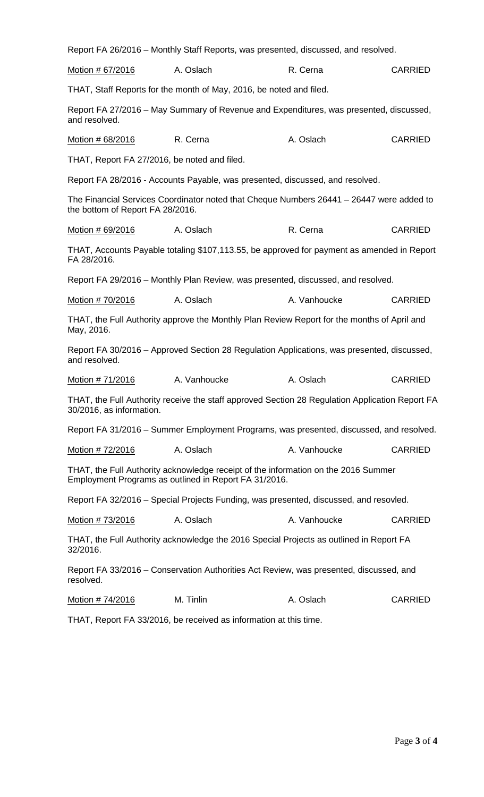|                                  |                                                                     | Report FA 26/2016 - Monthly Staff Reports, was presented, discussed, and resolved.              |                |
|----------------------------------|---------------------------------------------------------------------|-------------------------------------------------------------------------------------------------|----------------|
| Motion # 67/2016                 | A. Oslach                                                           | R. Cerna                                                                                        | <b>CARRIED</b> |
|                                  | THAT, Staff Reports for the month of May, 2016, be noted and filed. |                                                                                                 |                |
| and resolved.                    |                                                                     | Report FA 27/2016 - May Summary of Revenue and Expenditures, was presented, discussed,          |                |
| Motion # 68/2016                 | R. Cerna                                                            | A. Oslach                                                                                       | <b>CARRIED</b> |
|                                  | THAT, Report FA 27/2016, be noted and filed.                        |                                                                                                 |                |
|                                  |                                                                     | Report FA 28/2016 - Accounts Payable, was presented, discussed, and resolved.                   |                |
| the bottom of Report FA 28/2016. |                                                                     | The Financial Services Coordinator noted that Cheque Numbers 26441 - 26447 were added to        |                |
| Motion # 69/2016                 | A. Oslach                                                           | R. Cerna                                                                                        | <b>CARRIED</b> |
| FA 28/2016.                      |                                                                     | THAT, Accounts Payable totaling \$107,113.55, be approved for payment as amended in Report      |                |
|                                  |                                                                     | Report FA 29/2016 – Monthly Plan Review, was presented, discussed, and resolved.                |                |
| Motion # 70/2016                 | A. Oslach                                                           | A. Vanhoucke                                                                                    | <b>CARRIED</b> |
| May, 2016.                       |                                                                     | THAT, the Full Authority approve the Monthly Plan Review Report for the months of April and     |                |
| and resolved.                    |                                                                     | Report FA 30/2016 – Approved Section 28 Regulation Applications, was presented, discussed,      |                |
| Motion # 71/2016                 | A. Vanhoucke                                                        | A. Oslach                                                                                       | <b>CARRIED</b> |
| 30/2016, as information.         |                                                                     | THAT, the Full Authority receive the staff approved Section 28 Regulation Application Report FA |                |
|                                  |                                                                     | Report FA 31/2016 – Summer Employment Programs, was presented, discussed, and resolved.         |                |
| Motion # 72/2016                 | A. Oslach                                                           | A. Vanhoucke                                                                                    | <b>CARRIED</b> |
|                                  | Employment Programs as outlined in Report FA 31/2016.               | THAT, the Full Authority acknowledge receipt of the information on the 2016 Summer              |                |
|                                  |                                                                     | Report FA 32/2016 – Special Projects Funding, was presented, discussed, and resovled.           |                |
| Motion # 73/2016                 | A. Oslach                                                           | A. Vanhoucke                                                                                    | <b>CARRIED</b> |
| 32/2016.                         |                                                                     | THAT, the Full Authority acknowledge the 2016 Special Projects as outlined in Report FA         |                |
| resolved.                        |                                                                     | Report FA 33/2016 – Conservation Authorities Act Review, was presented, discussed, and          |                |
| Motion # 74/2016                 | M. Tinlin                                                           | A. Oslach                                                                                       | <b>CARRIED</b> |

THAT, Report FA 33/2016, be received as information at this time.